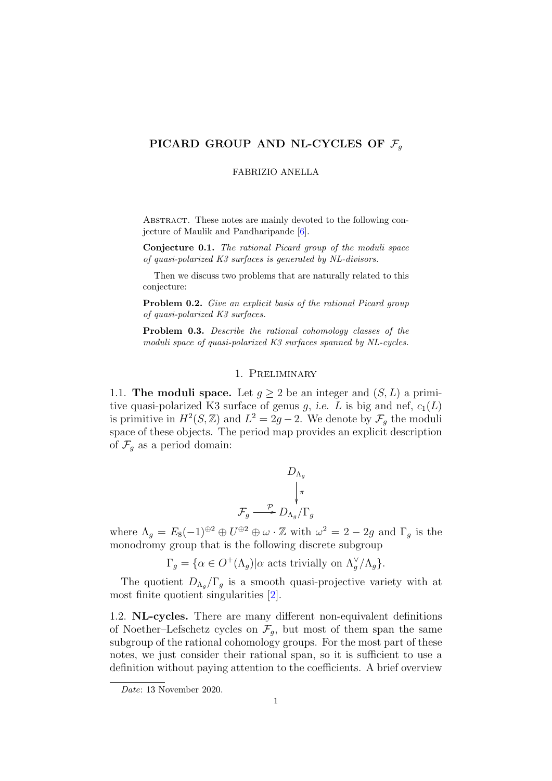# PICARD GROUP AND NL-CYCLES OF  $\mathcal{F}_q$

FABRIZIO ANELLA

ABSTRACT. These notes are mainly devoted to the following conjecture of Maulik and Pandharipande [\[6\]](#page-6-0).

<span id="page-0-0"></span>Conjecture 0.1. The rational Picard group of the moduli space of quasi-polarized K3 surfaces is generated by NL-divisors.

Then we discuss two problems that are naturally related to this conjecture:

Problem 0.2. Give an explicit basis of the rational Picard group of quasi-polarized K3 surfaces.

<span id="page-0-1"></span>Problem 0.3. Describe the rational cohomology classes of the moduli space of quasi-polarized K3 surfaces spanned by NL-cycles.

# 1. Preliminary

1.1. The moduli space. Let  $q > 2$  be an integer and  $(S, L)$  a primitive quasi-polarized K3 surface of genus g, i.e. L is big and nef,  $c_1(L)$ is primitive in  $H^2(S, \mathbb{Z})$  and  $L^2 = 2g - 2$ . We denote by  $\mathcal{F}_g$  the moduli space of these objects. The period map provides an explicit description of  $\mathcal{F}_g$  as a period domain:

$$
D_{\Lambda_g}
$$
  
\n
$$
\downarrow_{\pi}
$$
  
\n
$$
\mathcal{F}_g \longrightarrow D_{\Lambda_g}/\Gamma_g
$$

where  $\Lambda_g = E_8(-1)^{\oplus 2} \oplus U^{\oplus 2} \oplus \omega \cdot \mathbb{Z}$  with  $\omega^2 = 2 - 2g$  and  $\Gamma_g$  is the monodromy group that is the following discrete subgroup

$$
\Gamma_g = \{ \alpha \in O^+(\Lambda_g) | \alpha \text{ acts trivially on } \Lambda_g^{\vee}/\Lambda_g \}.
$$

The quotient  $D_{\Lambda_q}/\Gamma_q$  is a smooth quasi-projective variety with at most finite quotient singularities [\[2\]](#page-6-1).

1.2. NL-cycles. There are many different non-equivalent definitions of Noether–Lefschetz cycles on  $\mathcal{F}_g$ , but most of them span the same subgroup of the rational cohomology groups. For the most part of these notes, we just consider their rational span, so it is sufficient to use a definition without paying attention to the coefficients. A brief overview

Date: 13 November 2020.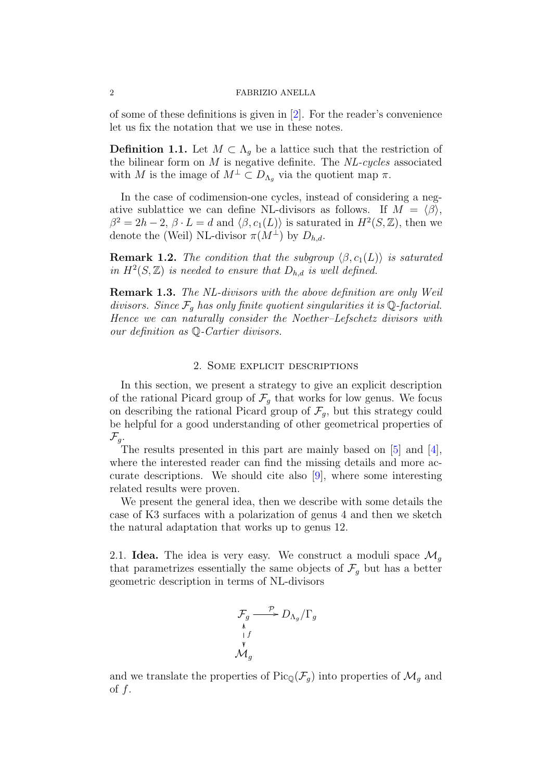#### 2 FABRIZIO ANELLA

of some of these definitions is given in [\[2\]](#page-6-1). For the reader's convenience let us fix the notation that we use in these notes.

**Definition 1.1.** Let  $M \subset \Lambda_q$  be a lattice such that the restriction of the bilinear form on  $M$  is negative definite. The  $NL-cycles$  associated with M is the image of  $M^{\perp} \subset D_{\Lambda_q}$  via the quotient map  $\pi$ .

In the case of codimension-one cycles, instead of considering a negative sublattice we can define NL-divisors as follows. If  $M = \langle \beta \rangle$ .  $\beta^2 = 2h - 2$ ,  $\beta \cdot L = d$  and  $\langle \beta, c_1(L) \rangle$  is saturated in  $H^2(S, \mathbb{Z})$ , then we denote the (Weil) NL-divisor  $\pi(M^{\perp})$  by  $D_{h,d}$ .

**Remark 1.2.** The condition that the subgroup  $\langle \beta, c_1(L) \rangle$  is saturated in  $H^2(S, \mathbb{Z})$  is needed to ensure that  $D_{h,d}$  is well defined.

**Remark 1.3.** The NL-divisors with the above definition are only Weil divisors. Since  $\mathcal{F}_q$  has only finite quotient singularities it is Q-factorial. Hence we can naturally consider the Noether–Lefschetz divisors with our definition as Q-Cartier divisors.

## 2. Some explicit descriptions

In this section, we present a strategy to give an explicit description of the rational Picard group of  $\mathcal{F}_g$  that works for low genus. We focus on describing the rational Picard group of  $\mathcal{F}_q$ , but this strategy could be helpful for a good understanding of other geometrical properties of  $\mathcal{F}_g$ .

The results presented in this part are mainly based on [\[5\]](#page-6-2) and [\[4\]](#page-6-3), where the interested reader can find the missing details and more accurate descriptions. We should cite also  $[9]$ , where some interesting related results were proven.

We present the general idea, then we describe with some details the case of K3 surfaces with a polarization of genus 4 and then we sketch the natural adaptation that works up to genus 12.

2.1. **Idea.** The idea is very easy. We construct a moduli space  $\mathcal{M}_q$ that parametrizes essentially the same objects of  $\mathcal{F}_q$  but has a better geometric description in terms of NL-divisors

$$
\mathcal{F}_g \xrightarrow{\mathcal{P}} D_{\Lambda_g}/\Gamma_g
$$
\n
$$
\mathcal{M}_g
$$
\n
$$
\mathcal{M}_g
$$

and we translate the properties of  $Pic_{\mathbb{Q}}(\mathcal{F}_q)$  into properties of  $\mathcal{M}_q$  and of  $f$ .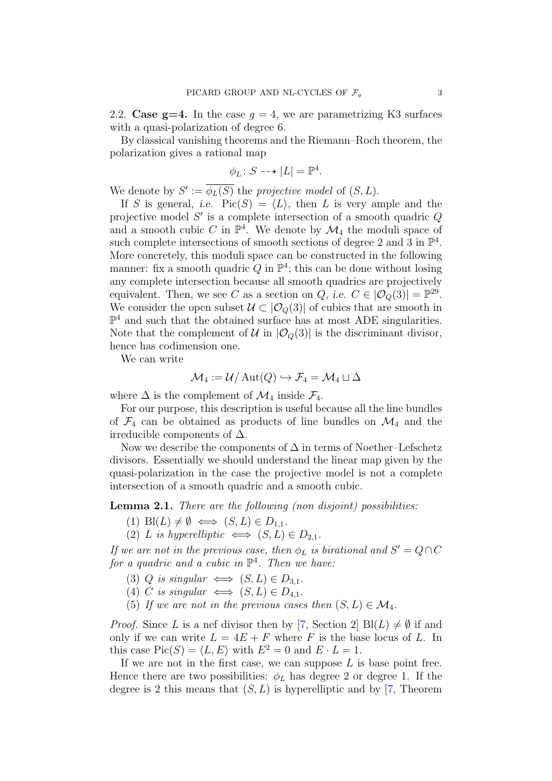2.2. Case  $g=4$ . In the case  $g=4$ , we are parametrizing K3 surfaces with a quasi-polarization of degree 6.

By classical vanishing theorems and the Riemann–Roch theorem, the polarization gives a rational map

$$
\phi_L \colon S \dashrightarrow |L| = \mathbb{P}^4.
$$

We denote by  $S' := \overline{\phi_L(S)}$  the projective model of  $(S, L)$ .

If S is general, i.e.  $Pic(S) = \langle L \rangle$ , then L is very ample and the projective model  $S'$  is a complete intersection of a smooth quadric  $Q$ and a smooth cubic C in  $\mathbb{P}^4$ . We denote by  $\mathcal{M}_4$  the moduli space of such complete intersections of smooth sections of degree 2 and 3 in  $\mathbb{P}^4$ . More concretely, this moduli space can be constructed in the following manner: fix a smooth quadric Q in  $\mathbb{P}^4$ ; this can be done without losing any complete intersection because all smooth quadrics are projectively equivalent. Then, we see C as a section on Q, i.e.  $C \in |O_Q(3)| = \mathbb{P}^{29}$ . We consider the open subset  $\mathcal{U} \subset |\mathcal{O}_Q(3)|$  of cubics that are smooth in  $\mathbb{P}^4$  and such that the obtained surface has at most ADE singularities. Note that the complement of  $\mathcal{U}$  in  $|\mathcal{O}_Q(3)|$  is the discriminant divisor, hence has codimension one.

We can write

$$
\mathcal{M}_4 := \mathcal{U}/\operatorname{Aut}(Q) \hookrightarrow \mathcal{F}_4 = \mathcal{M}_4 \sqcup \Delta
$$

where  $\Delta$  is the complement of  $\mathcal{M}_4$  inside  $\mathcal{F}_4$ .

For our purpose, this description is useful because all the line bundles of  $\mathcal{F}_4$  can be obtained as products of line bundles on  $\mathcal{M}_4$  and the irreducible components of  $\Delta$ .

Now we describe the components of  $\Delta$  in terms of Noether–Lefschetz divisors. Essentially we should understand the linear map given by the quasi-polarization in the case the projective model is not a complete intersection of a smooth quadric and a smooth cubic.

Lemma 2.1. There are the following (non disjoint) possibilities:

- (1) Bl( $L$ )  $\neq \emptyset \iff (S, L) \in D_{1,1}.$
- (2) L is hyperelliptic  $\iff$   $(S, L) \in D_{2,1}$ .

If we are not in the previous case, then  $\phi_L$  is birational and  $S' = Q \cap C$ for a quadric and a cubic in  $\mathbb{P}^4$ . Then we have:

- (3) Q is singular  $\iff$   $(S, L) \in D_{3,1}$ .
- (4) C is singular  $\iff$   $(S, L) \in D_{4,1}$ .
- (5) If we are not in the previous cases then  $(S, L) \in \mathcal{M}_4$ .

*Proof.* Since L is a nef divisor then by [\[7,](#page-6-5) Section 2]  $B(L) \neq \emptyset$  if and only if we can write  $L = 4E + F$  where F is the base locus of L. In this case  $Pic(S) = \langle L, E \rangle$  with  $E^2 = 0$  and  $E \cdot L = 1$ .

If we are not in the first case, we can suppose  $L$  is base point free. Hence there are two possibilities:  $\phi_L$  has degree 2 or degree 1. If the degree is 2 this means that  $(S, L)$  is hyperelliptic and by [\[7,](#page-6-5) Theorem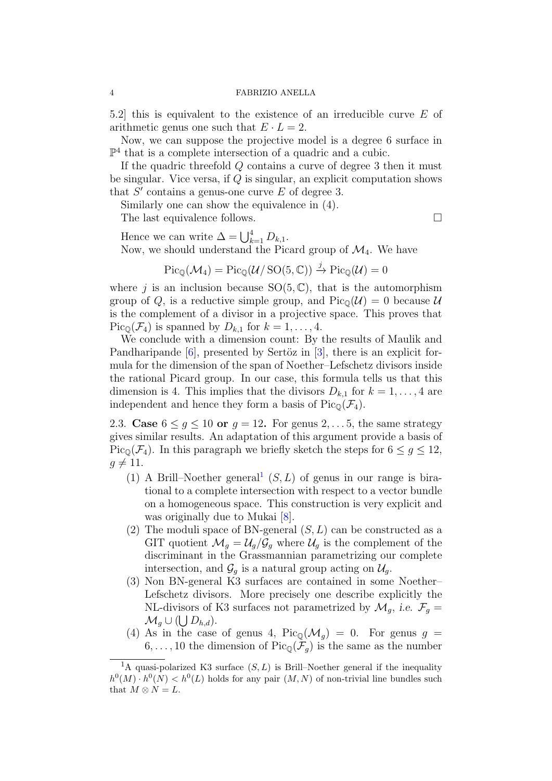#### 4 FABRIZIO ANELLA

5.2] this is equivalent to the existence of an irreducible curve E of arithmetic genus one such that  $E \cdot L = 2$ .

Now, we can suppose the projective model is a degree 6 surface in  $\mathbb{P}^4$  that is a complete intersection of a quadric and a cubic.

If the quadric threefold Q contains a curve of degree 3 then it must be singular. Vice versa, if Q is singular, an explicit computation shows that  $S'$  contains a genus-one curve  $E$  of degree 3.

Similarly one can show the equivalence in (4).

The last equivalence follows.  $\Box$ 

Hence we can write  $\Delta = \bigcup_{k=1}^{4} D_{k,1}$ . Now, we should understand the Picard group of  $\mathcal{M}_4$ . We have

$$
\mathrm{Pic}_{\mathbb{Q}}(\mathcal{M}_4) = \mathrm{Pic}_{\mathbb{Q}}(\mathcal{U}/\operatorname{SO}(5,\mathbb{C})) \stackrel{j}{\to} \mathrm{Pic}_{\mathbb{Q}}(\mathcal{U}) = 0
$$

where j is an inclusion because  $SO(5, \mathbb{C})$ , that is the automorphism group of Q, is a reductive simple group, and  $Pic_{\mathbb{Q}}(\mathcal{U}) = 0$  because  $\mathcal{U}$ is the complement of a divisor in a projective space. This proves that  $Pic_{\mathbb{O}}(\mathcal{F}_4)$  is spanned by  $D_{k,1}$  for  $k = 1, \ldots, 4$ .

We conclude with a dimension count: By the results of Maulik and Pandharipande  $[6]$ , presented by Sertöz in  $[3]$ , there is an explicit formula for the dimension of the span of Noether–Lefschetz divisors inside the rational Picard group. In our case, this formula tells us that this dimension is 4. This implies that the divisors  $D_{k,1}$  for  $k = 1, \ldots, 4$  are independent and hence they form a basis of  $Pic_{\mathbb{Q}}(\mathcal{F}_4)$ .

2.3. Case  $6 \leq g \leq 10$  or  $g = 12$ . For genus 2, ... 5, the same strategy gives similar results. An adaptation of this argument provide a basis of Pic<sub>Q</sub>( $\mathcal{F}_4$ ). In this paragraph we briefly sketch the steps for  $6 \leq g \leq 12$ ,  $g \neq 11$ .

- ([1](#page-3-0)) A Brill–Noether general<sup>1</sup>  $(S, L)$  of genus in our range is birational to a complete intersection with respect to a vector bundle on a homogeneous space. This construction is very explicit and was originally due to Mukai [\[8\]](#page-6-7).
- (2) The moduli space of BN-general  $(S, L)$  can be constructed as a GIT quotient  $\mathcal{M}_g = \mathcal{U}_g/\mathcal{G}_g$  where  $\mathcal{U}_g$  is the complement of the discriminant in the Grassmannian parametrizing our complete intersection, and  $\mathcal{G}_q$  is a natural group acting on  $\mathcal{U}_q$ .
- (3) Non BN-general K3 surfaces are contained in some Noether– Lefschetz divisors. More precisely one describe explicitly the NL-divisors of K3 surfaces not parametrized by  $\mathcal{M}_q$ , i.e.  $\mathcal{F}_q$  =  $\mathcal{M}_g \cup (\bigcup D_{h,d}).$
- (4) As in the case of genus 4,  $Pic_0(\mathcal{M}_q) = 0$ . For genus  $g =$  $6, \ldots, 10$  the dimension of  $Pic_{\mathbb{Q}}(\mathcal{F}_q)$  is the same as the number

<span id="page-3-0"></span><sup>&</sup>lt;sup>1</sup>A quasi-polarized K3 surface  $(S, L)$  is Brill–Noether general if the inequality  $h^0(M) \cdot h^0(N) < h^0(L)$  holds for any pair  $(M, N)$  of non-trivial line bundles such that  $M \otimes N = L$ .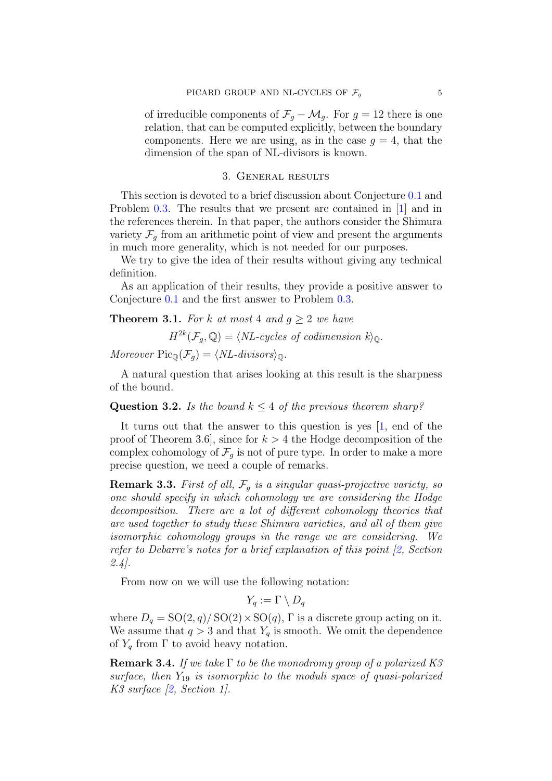of irreducible components of  $\mathcal{F}_g - \mathcal{M}_g$ . For  $g = 12$  there is one relation, that can be computed explicitly, between the boundary components. Here we are using, as in the case  $q = 4$ , that the dimension of the span of NL-divisors is known.

## 3. General results

This section is devoted to a brief discussion about Conjecture [0.1](#page-0-0) and Problem [0.3.](#page-0-1) The results that we present are contained in [\[1\]](#page-6-8) and in the references therein. In that paper, the authors consider the Shimura variety  $\mathcal{F}_g$  from an arithmetic point of view and present the arguments in much more generality, which is not needed for our purposes.

We try to give the idea of their results without giving any technical definition.

As an application of their results, they provide a positive answer to Conjecture [0.1](#page-0-0) and the first answer to Problem [0.3.](#page-0-1)

<span id="page-4-0"></span>**Theorem 3.1.** For k at most 4 and  $q \ge 2$  we have

 $H^{2k}(\mathcal{F}_g, \mathbb{Q}) = \langle NL-cycles \ of \ codimension \ k \rangle_{\mathbb{Q}}.$ 

Moreover  $\text{Pic}_{\mathbb{Q}}(\mathcal{F}_q) = \langle NL-divisors\rangle_{\mathbb{Q}}$ .

A natural question that arises looking at this result is the sharpness of the bound.

Question 3.2. Is the bound  $k \leq 4$  of the previous theorem sharp?

It turns out that the answer to this question is yes [\[1,](#page-6-8) end of the proof of Theorem 3.6, since for  $k > 4$  the Hodge decomposition of the complex cohomology of  $\mathcal{F}_g$  is not of pure type. In order to make a more precise question, we need a couple of remarks.

**Remark 3.3.** First of all,  $\mathcal{F}_q$  is a singular quasi-projective variety, so one should specify in which cohomology we are considering the Hodge decomposition. There are a lot of different cohomology theories that are used together to study these Shimura varieties, and all of them give isomorphic cohomology groups in the range we are considering. We refer to Debarre's notes for a brief explanation of this point [\[2,](#page-6-1) Section  $2.4$ ].

From now on we will use the following notation:

 $Y_a := \Gamma \setminus D_a$ 

where  $D_q = SO(2, q)/SO(2) \times SO(q)$ , Γ is a discrete group acting on it. We assume that  $q > 3$  and that  $Y_q$  is smooth. We omit the dependence of  $Y_q$  from  $\Gamma$  to avoid heavy notation.

**Remark 3.4.** If we take  $\Gamma$  to be the monodromy group of a polarized K3 surface, then  $Y_{19}$  is isomorphic to the moduli space of quasi-polarized K3 surface [\[2,](#page-6-1) Section 1].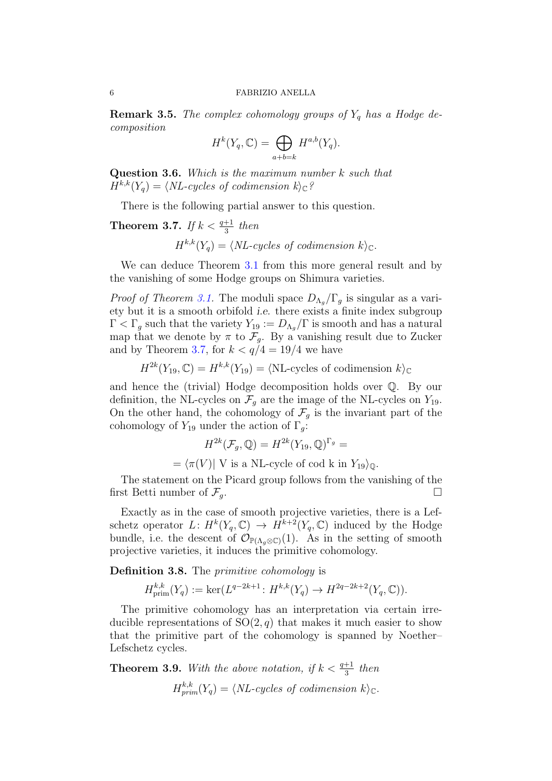**Remark 3.5.** The complex cohomology groups of  $Y_q$  has a Hodge decomposition

$$
H^k(Y_q, \mathbb{C}) = \bigoplus_{a+b=k} H^{a,b}(Y_q).
$$

Question 3.6. Which is the maximum number k such that  $H^{k,k}(Y_a) = \langle NL-cycles \text{ of codimension } k \rangle_{\mathbb{C}}?$ 

There is the following partial answer to this question.

# <span id="page-5-0"></span>**Theorem 3.7.** If  $k < \frac{q+1}{3}$  then

 $H^{k,k}(Y_q) = \langle NL-cycles \ of \ codimension \ k \rangle_{\mathbb{C}}.$ 

We can deduce Theorem [3.1](#page-4-0) from this more general result and by the vanishing of some Hodge groups on Shimura varieties.

*Proof of Theorem [3.1.](#page-4-0)* The moduli space  $D_{\Lambda_q}/\Gamma_g$  is singular as a variety but it is a smooth orbifold i.e. there exists a finite index subgroup  $\Gamma < \Gamma_g$  such that the variety  $Y_{19} := D_{\Lambda_g}/\Gamma$  is smooth and has a natural map that we denote by  $\pi$  to  $\mathcal{F}_g$ . By a vanishing result due to Zucker and by Theorem [3.7,](#page-5-0) for  $k < q/4 = 19/4$  we have

 $H^{2k}(Y_{19}, \mathbb{C}) = H^{k,k}(Y_{19}) = \langle \text{NL-cycles of codimension } k \rangle_{\mathbb{C}}$ 

and hence the (trivial) Hodge decomposition holds over Q. By our definition, the NL-cycles on  $\mathcal{F}_g$  are the image of the NL-cycles on  $Y_{19}$ . On the other hand, the cohomology of  $\mathcal{F}_g$  is the invariant part of the cohomology of  $Y_{19}$  under the action of  $\Gamma_q$ :

$$
H^{2k}(\mathcal{F}_g, \mathbb{Q}) = H^{2k}(Y_{19}, \mathbb{Q})^{\Gamma_g} =
$$
  
=  $\langle \pi(V) | V$  is a NL-cycle of cod k in  $Y_{19} \rangle_{\mathbb{Q}}.$ 

The statement on the Picard group follows from the vanishing of the first Betti number of  $\mathcal{F}_q$ .

Exactly as in the case of smooth projective varieties, there is a Lefschetz operator  $L: H^k(Y_q, \mathbb{C}) \to H^{k+2}(Y_q, \mathbb{C})$  induced by the Hodge bundle, i.e. the descent of  $\mathcal{O}_{\mathbb{P}(\Lambda_g \otimes \mathbb{C})}(1)$ . As in the setting of smooth projective varieties, it induces the primitive cohomology.

Definition 3.8. The *primitive cohomology* is

 $H^{k,k}_{\text{prim}}(Y_q) := \ker(L^{q-2k+1}: H^{k,k}(Y_q) \to H^{2q-2k+2}(Y_q, \mathbb{C})).$ 

The primitive cohomology has an interpretation via certain irreducible representations of  $SO(2, q)$  that makes it much easier to show that the primitive part of the cohomology is spanned by Noether– Lefschetz cycles.

**Theorem 3.9.** With the above notation, if  $k < \frac{q+1}{3}$  then  $H^{k,k}_{prim}(Y_q) = \langle NL-cycles \ of \ codimension \ k \rangle_{\mathbb{C}}.$